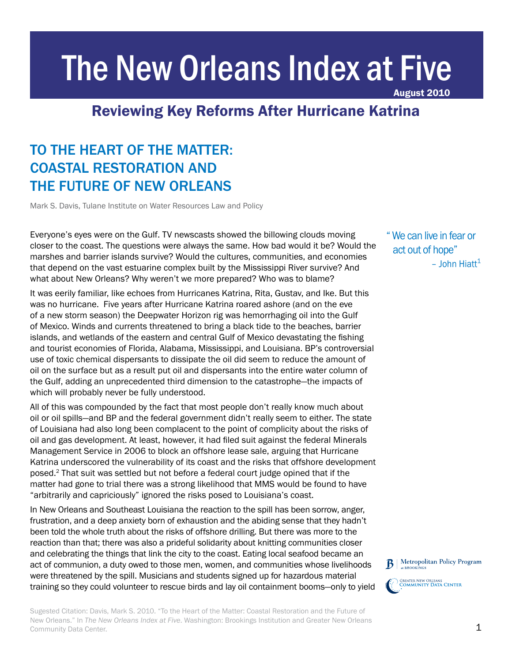# The New Orleans Index at Five

August 2010

# Reviewing Key Reforms After Hurricane Katrina RECOVERING TO TRANSFORMATION OF A GREAT AMERICAN CITY OF A GREAT AMERICAN CITY OF A GREAT AMERICAN COMPUTER OF

# TO THE HEART OF THE MATTER: COASTAL RESTORATION AND THE FUTURE OF NEW ORLEANS

Mark S. Davis, Tulane Institute on Water Resources Law and Policy

Everyone's eyes were on the Gulf. TV newscasts showed the billowing clouds moving closer to the coast. The questions were always the same. How bad would it be? Would the marshes and barrier islands survive? Would the cultures, communities, and economies that depend on the vast estuarine complex built by the Mississippi River survive? And what about New Orleans? Why weren't we more prepared? Who was to blame?

It was eerily familiar, like echoes from Hurricanes Katrina, Rita, Gustav, and Ike. But this was no hurricane. Five years after Hurricane Katrina roared ashore (and on the eve of a new storm season) the Deepwater Horizon rig was hemorrhaging oil into the Gulf of Mexico. Winds and currents threatened to bring a black tide to the beaches, barrier islands, and wetlands of the eastern and central Gulf of Mexico devastating the fishing and tourist economies of Florida, Alabama, Mississippi, and Louisiana. BP's controversial use of toxic chemical dispersants to dissipate the oil did seem to reduce the amount of oil on the surface but as a result put oil and dispersants into the entire water column of the Gulf, adding an unprecedented third dimension to the catastrophe—the impacts of which will probably never be fully understood.

All of this was compounded by the fact that most people don't really know much about oil or oil spills—and BP and the federal government didn't really seem to either. The state of Louisiana had also long been complacent to the point of complicity about the risks of oil and gas development. At least, however, it had filed suit against the federal Minerals Management Service in 2006 to block an offshore lease sale, arguing that Hurricane Katrina underscored the vulnerability of its coast and the risks that offshore development posed.2 That suit was settled but not before a federal court judge opined that if the matter had gone to trial there was a strong likelihood that MMS would be found to have "arbitrarily and capriciously" ignored the risks posed to Louisiana's coast.

In New Orleans and Southeast Louisiana the reaction to the spill has been sorrow, anger, frustration, and a deep anxiety born of exhaustion and the abiding sense that they hadn't been told the whole truth about the risks of offshore drilling. But there was more to the reaction than that; there was also a prideful solidarity about knitting communities closer and celebrating the things that link the city to the coast. Eating local seafood became an act of communion, a duty owed to those men, women, and communities whose livelihoods were threatened by the spill. Musicians and students signed up for hazardous material training so they could volunteer to rescue birds and lay oil containment booms—only to yield " We can live in fear or act out of hope" – John Hiatt $1$ 



Sugested Citation: Davis, Mark S. 2010. "To the Heart of the Matter: Coastal Restoration and the Future of New Orleans." In *The New Orleans Index at Five*. Washington: Brookings Institution and Greater New Orleans Community Data Center.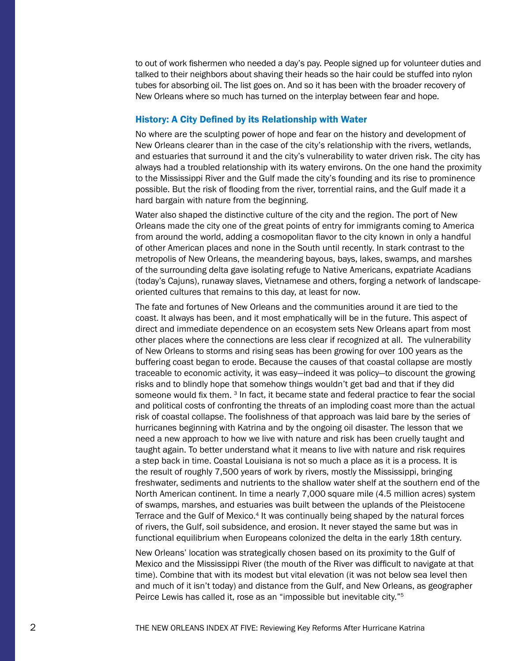to out of work fishermen who needed a day's pay. People signed up for volunteer duties and talked to their neighbors about shaving their heads so the hair could be stuffed into nylon tubes for absorbing oil. The list goes on. And so it has been with the broader recovery of New Orleans where so much has turned on the interplay between fear and hope.

#### History: A City Defined by its Relationship with Water

No where are the sculpting power of hope and fear on the history and development of New Orleans clearer than in the case of the city's relationship with the rivers, wetlands, and estuaries that surround it and the city's vulnerability to water driven risk. The city has always had a troubled relationship with its watery environs. On the one hand the proximity to the Mississippi River and the Gulf made the city's founding and its rise to prominence possible. But the risk of flooding from the river, torrential rains, and the Gulf made it a hard bargain with nature from the beginning.

Water also shaped the distinctive culture of the city and the region. The port of New Orleans made the city one of the great points of entry for immigrants coming to America from around the world, adding a cosmopolitan flavor to the city known in only a handful of other American places and none in the South until recently. In stark contrast to the metropolis of New Orleans, the meandering bayous, bays, lakes, swamps, and marshes of the surrounding delta gave isolating refuge to Native Americans, expatriate Acadians (today's Cajuns), runaway slaves, Vietnamese and others, forging a network of landscapeoriented cultures that remains to this day, at least for now.

The fate and fortunes of New Orleans and the communities around it are tied to the coast. It always has been, and it most emphatically will be in the future. This aspect of direct and immediate dependence on an ecosystem sets New Orleans apart from most other places where the connections are less clear if recognized at all. The vulnerability of New Orleans to storms and rising seas has been growing for over 100 years as the buffering coast began to erode. Because the causes of that coastal collapse are mostly traceable to economic activity, it was easy—indeed it was policy—to discount the growing risks and to blindly hope that somehow things wouldn't get bad and that if they did someone would fix them. <sup>3</sup> In fact, it became state and federal practice to fear the social and political costs of confronting the threats of an imploding coast more than the actual risk of coastal collapse. The foolishness of that approach was laid bare by the series of hurricanes beginning with Katrina and by the ongoing oil disaster. The lesson that we need a new approach to how we live with nature and risk has been cruelly taught and taught again. To better understand what it means to live with nature and risk requires a step back in time. Coastal Louisiana is not so much a place as it is a process. It is the result of roughly 7,500 years of work by rivers, mostly the Mississippi, bringing freshwater, sediments and nutrients to the shallow water shelf at the southern end of the North American continent. In time a nearly 7,000 square mile (4.5 million acres) system of swamps, marshes, and estuaries was built between the uplands of the Pleistocene Terrace and the Gulf of Mexico.<sup>4</sup> It was continually being shaped by the natural forces of rivers, the Gulf, soil subsidence, and erosion. It never stayed the same but was in functional equilibrium when Europeans colonized the delta in the early 18th century.

New Orleans' location was strategically chosen based on its proximity to the Gulf of Mexico and the Mississippi River (the mouth of the River was difficult to navigate at that time). Combine that with its modest but vital elevation (it was not below sea level then and much of it isn't today) and distance from the Gulf, and New Orleans, as geographer Peirce Lewis has called it, rose as an "impossible but inevitable city."5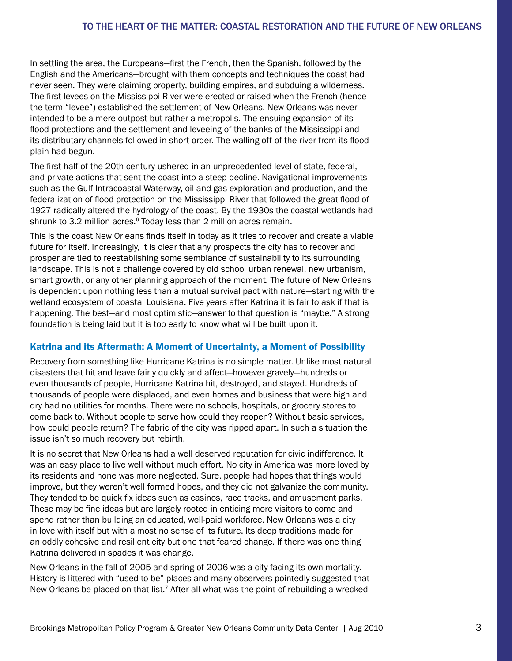In settling the area, the Europeans—first the French, then the Spanish, followed by the English and the Americans—brought with them concepts and techniques the coast had never seen. They were claiming property, building empires, and subduing a wilderness. The first levees on the Mississippi River were erected or raised when the French (hence the term "levee") established the settlement of New Orleans. New Orleans was never intended to be a mere outpost but rather a metropolis. The ensuing expansion of its flood protections and the settlement and leveeing of the banks of the Mississippi and its distributary channels followed in short order. The walling off of the river from its flood plain had begun.

The first half of the 20th century ushered in an unprecedented level of state, federal, and private actions that sent the coast into a steep decline. Navigational improvements such as the Gulf Intracoastal Waterway, oil and gas exploration and production, and the federalization of flood protection on the Mississippi River that followed the great flood of 1927 radically altered the hydrology of the coast. By the 1930s the coastal wetlands had shrunk to 3.2 million acres.<sup>6</sup> Today less than 2 million acres remain.

This is the coast New Orleans finds itself in today as it tries to recover and create a viable future for itself. Increasingly, it is clear that any prospects the city has to recover and prosper are tied to reestablishing some semblance of sustainability to its surrounding landscape. This is not a challenge covered by old school urban renewal, new urbanism, smart growth, or any other planning approach of the moment. The future of New Orleans is dependent upon nothing less than a mutual survival pact with nature—starting with the wetland ecosystem of coastal Louisiana. Five years after Katrina it is fair to ask if that is happening. The best—and most optimistic—answer to that question is "maybe." A strong foundation is being laid but it is too early to know what will be built upon it.

### Katrina and its Aftermath: A Moment of Uncertainty, a Moment of Possibility

Recovery from something like Hurricane Katrina is no simple matter. Unlike most natural disasters that hit and leave fairly quickly and affect—however gravely—hundreds or even thousands of people, Hurricane Katrina hit, destroyed, and stayed. Hundreds of thousands of people were displaced, and even homes and business that were high and dry had no utilities for months. There were no schools, hospitals, or grocery stores to come back to. Without people to serve how could they reopen? Without basic services, how could people return? The fabric of the city was ripped apart. In such a situation the issue isn't so much recovery but rebirth.

It is no secret that New Orleans had a well deserved reputation for civic indifference. It was an easy place to live well without much effort. No city in America was more loved by its residents and none was more neglected. Sure, people had hopes that things would improve, but they weren't well formed hopes, and they did not galvanize the community. They tended to be quick fix ideas such as casinos, race tracks, and amusement parks. These may be fine ideas but are largely rooted in enticing more visitors to come and spend rather than building an educated, well-paid workforce. New Orleans was a city in love with itself but with almost no sense of its future. Its deep traditions made for an oddly cohesive and resilient city but one that feared change. If there was one thing Katrina delivered in spades it was change.

New Orleans in the fall of 2005 and spring of 2006 was a city facing its own mortality. History is littered with "used to be" places and many observers pointedly suggested that New Orleans be placed on that list.<sup>7</sup> After all what was the point of rebuilding a wrecked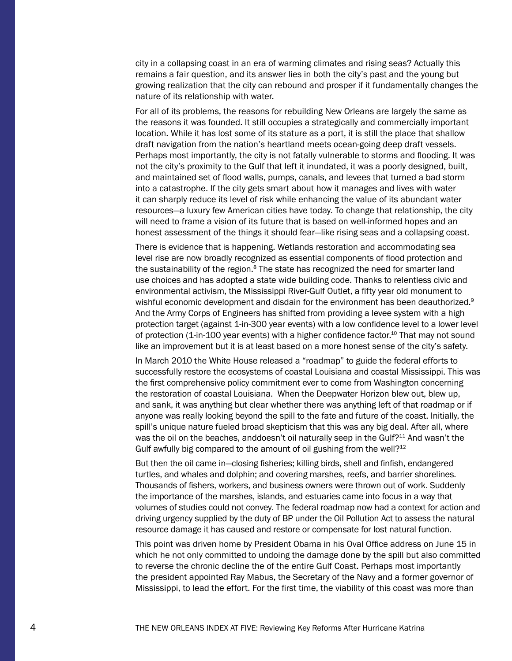city in a collapsing coast in an era of warming climates and rising seas? Actually this remains a fair question, and its answer lies in both the city's past and the young but growing realization that the city can rebound and prosper if it fundamentally changes the nature of its relationship with water.

For all of its problems, the reasons for rebuilding New Orleans are largely the same as the reasons it was founded. It still occupies a strategically and commercially important location. While it has lost some of its stature as a port, it is still the place that shallow draft navigation from the nation's heartland meets ocean-going deep draft vessels. Perhaps most importantly, the city is not fatally vulnerable to storms and flooding. It was not the city's proximity to the Gulf that left it inundated, it was a poorly designed, built, and maintained set of flood walls, pumps, canals, and levees that turned a bad storm into a catastrophe. If the city gets smart about how it manages and lives with water it can sharply reduce its level of risk while enhancing the value of its abundant water resources—a luxury few American cities have today. To change that relationship, the city will need to frame a vision of its future that is based on well-informed hopes and an honest assessment of the things it should fear—like rising seas and a collapsing coast.

There is evidence that is happening. Wetlands restoration and accommodating sea level rise are now broadly recognized as essential components of flood protection and the sustainability of the region. $8$  The state has recognized the need for smarter land use choices and has adopted a state wide building code. Thanks to relentless civic and environmental activism, the Mississippi River-Gulf Outlet, a fifty year old monument to wishful economic development and disdain for the environment has been deauthorized.<sup>9</sup> And the Army Corps of Engineers has shifted from providing a levee system with a high protection target (against 1-in-300 year events) with a low confidence level to a lower level of protection (1-in-100 year events) with a higher confidence factor.<sup>10</sup> That may not sound like an improvement but it is at least based on a more honest sense of the city's safety.

In March 2010 the White House released a "roadmap" to guide the federal efforts to successfully restore the ecosystems of coastal Louisiana and coastal Mississippi. This was the first comprehensive policy commitment ever to come from Washington concerning the restoration of coastal Louisiana. When the Deepwater Horizon blew out, blew up, and sank, it was anything but clear whether there was anything left of that roadmap or if anyone was really looking beyond the spill to the fate and future of the coast. Initially, the spill's unique nature fueled broad skepticism that this was any big deal. After all, where was the oil on the beaches, anddoesn't oil naturally seep in the Gulf?<sup>11</sup> And wasn't the Gulf awfully big compared to the amount of oil gushing from the well?<sup>12</sup>

But then the oil came in—closing fisheries; killing birds, shell and finfish, endangered turtles, and whales and dolphin; and covering marshes, reefs, and barrier shorelines. Thousands of fishers, workers, and business owners were thrown out of work. Suddenly the importance of the marshes, islands, and estuaries came into focus in a way that volumes of studies could not convey. The federal roadmap now had a context for action and driving urgency supplied by the duty of BP under the Oil Pollution Act to assess the natural resource damage it has caused and restore or compensate for lost natural function.

This point was driven home by President Obama in his Oval Office address on June 15 in which he not only committed to undoing the damage done by the spill but also committed to reverse the chronic decline the of the entire Gulf Coast. Perhaps most importantly the president appointed Ray Mabus, the Secretary of the Navy and a former governor of Mississippi, to lead the effort. For the first time, the viability of this coast was more than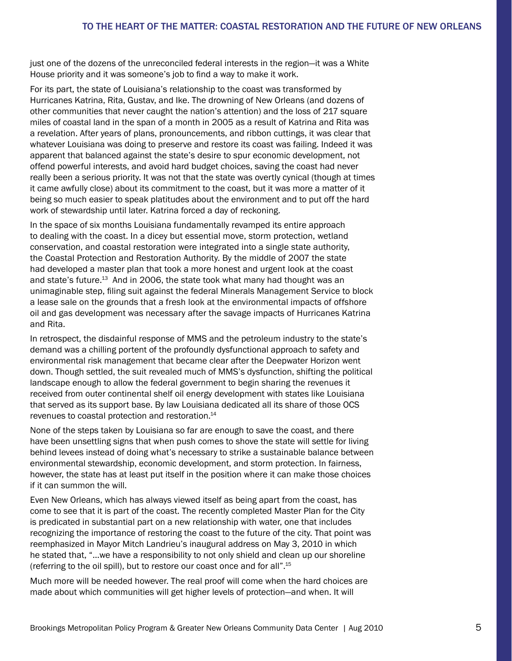just one of the dozens of the unreconciled federal interests in the region—it was a White House priority and it was someone's job to find a way to make it work.

For its part, the state of Louisiana's relationship to the coast was transformed by Hurricanes Katrina, Rita, Gustav, and Ike. The drowning of New Orleans (and dozens of other communities that never caught the nation's attention) and the loss of 217 square miles of coastal land in the span of a month in 2005 as a result of Katrina and Rita was a revelation. After years of plans, pronouncements, and ribbon cuttings, it was clear that whatever Louisiana was doing to preserve and restore its coast was failing. Indeed it was apparent that balanced against the state's desire to spur economic development, not offend powerful interests, and avoid hard budget choices, saving the coast had never really been a serious priority. It was not that the state was overtly cynical (though at times it came awfully close) about its commitment to the coast, but it was more a matter of it being so much easier to speak platitudes about the environment and to put off the hard work of stewardship until later. Katrina forced a day of reckoning.

In the space of six months Louisiana fundamentally revamped its entire approach to dealing with the coast. In a dicey but essential move, storm protection, wetland conservation, and coastal restoration were integrated into a single state authority, the Coastal Protection and Restoration Authority. By the middle of 2007 the state had developed a master plan that took a more honest and urgent look at the coast and state's future.<sup>13</sup> And in 2006, the state took what many had thought was an unimaginable step, filing suit against the federal Minerals Management Service to block a lease sale on the grounds that a fresh look at the environmental impacts of offshore oil and gas development was necessary after the savage impacts of Hurricanes Katrina and Rita.

In retrospect, the disdainful response of MMS and the petroleum industry to the state's demand was a chilling portent of the profoundly dysfunctional approach to safety and environmental risk management that became clear after the Deepwater Horizon went down. Though settled, the suit revealed much of MMS's dysfunction, shifting the political landscape enough to allow the federal government to begin sharing the revenues it received from outer continental shelf oil energy development with states like Louisiana that served as its support base. By law Louisiana dedicated all its share of those OCS revenues to coastal protection and restoration.14

None of the steps taken by Louisiana so far are enough to save the coast, and there have been unsettling signs that when push comes to shove the state will settle for living behind levees instead of doing what's necessary to strike a sustainable balance between environmental stewardship, economic development, and storm protection. In fairness, however, the state has at least put itself in the position where it can make those choices if it can summon the will.

Even New Orleans, which has always viewed itself as being apart from the coast, has come to see that it is part of the coast. The recently completed Master Plan for the City is predicated in substantial part on a new relationship with water, one that includes recognizing the importance of restoring the coast to the future of the city. That point was reemphasized in Mayor Mitch Landrieu's inaugural address on May 3, 2010 in which he stated that, "…we have a responsibility to not only shield and clean up our shoreline (referring to the oil spill), but to restore our coast once and for all".15

Much more will be needed however. The real proof will come when the hard choices are made about which communities will get higher levels of protection—and when. It will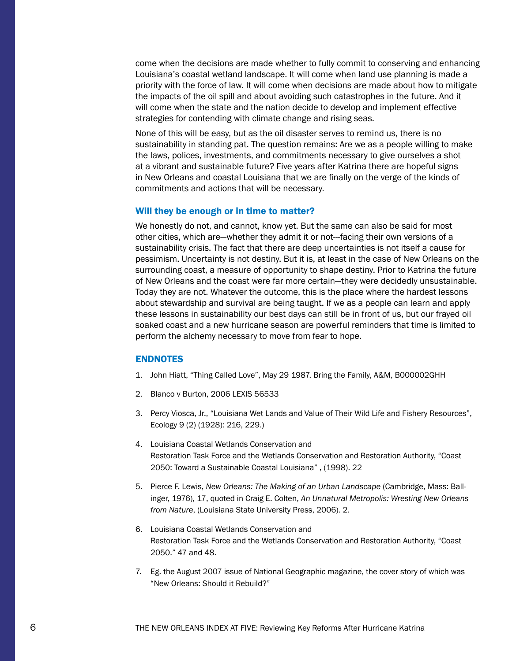come when the decisions are made whether to fully commit to conserving and enhancing Louisiana's coastal wetland landscape. It will come when land use planning is made a priority with the force of law. It will come when decisions are made about how to mitigate the impacts of the oil spill and about avoiding such catastrophes in the future. And it will come when the state and the nation decide to develop and implement effective strategies for contending with climate change and rising seas.

None of this will be easy, but as the oil disaster serves to remind us, there is no sustainability in standing pat. The question remains: Are we as a people willing to make the laws, polices, investments, and commitments necessary to give ourselves a shot at a vibrant and sustainable future? Five years after Katrina there are hopeful signs in New Orleans and coastal Louisiana that we are finally on the verge of the kinds of commitments and actions that will be necessary.

#### Will they be enough or in time to matter?

We honestly do not, and cannot, know yet. But the same can also be said for most other cities, which are—whether they admit it or not---facing their own versions of a sustainability crisis. The fact that there are deep uncertainties is not itself a cause for pessimism. Uncertainty is not destiny. But it is, at least in the case of New Orleans on the surrounding coast, a measure of opportunity to shape destiny. Prior to Katrina the future of New Orleans and the coast were far more certain—they were decidedly unsustainable. Today they are not. Whatever the outcome, this is the place where the hardest lessons about stewardship and survival are being taught. If we as a people can learn and apply these lessons in sustainability our best days can still be in front of us, but our frayed oil soaked coast and a new hurricane season are powerful reminders that time is limited to perform the alchemy necessary to move from fear to hope.

#### ENDNOTES

- 1. John Hiatt, "Thing Called Love", May 29 1987. Bring the Family, A&M, B000002GHH
- 2. Blanco v Burton, 2006 LEXIS 56533
- 3. Percy Viosca, Jr., "Louisiana Wet Lands and Value of Their Wild Life and Fishery Resources", Ecology 9 (2) (1928): 216, 229.)
- 4. Louisiana Coastal Wetlands Conservation and Restoration Task Force and the Wetlands Conservation and Restoration Authority, "Coast 2050: Toward a Sustainable Coastal Louisiana" , (1998). 22
- 5. Pierce F. Lewis, *New Orleans: The Making of an Urban Landscape* (Cambridge, Mass: Ballinger, 1976), 17, quoted in Craig E. Colten, *An Unnatural Metropolis: Wresting New Orleans from Nature*, (Louisiana State University Press, 2006). 2.
- 6. Louisiana Coastal Wetlands Conservation and Restoration Task Force and the Wetlands Conservation and Restoration Authority, "Coast 2050." 47 and 48.
- 7. Eg. the August 2007 issue of National Geographic magazine, the cover story of which was "New Orleans: Should it Rebuild?"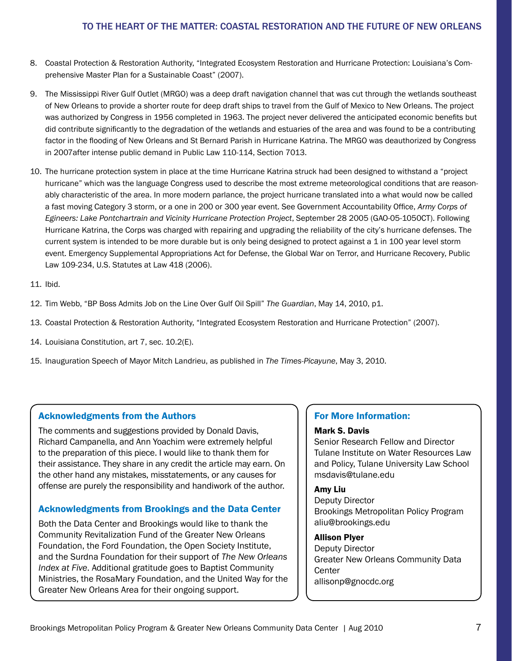- 8. Coastal Protection & Restoration Authority, "Integrated Ecosystem Restoration and Hurricane Protection: Louisiana's Comprehensive Master Plan for a Sustainable Coast" (2007).
- 9. The Mississippi River Gulf Outlet (MRGO) was a deep draft navigation channel that was cut through the wetlands southeast of New Orleans to provide a shorter route for deep draft ships to travel from the Gulf of Mexico to New Orleans. The project was authorized by Congress in 1956 completed in 1963. The project never delivered the anticipated economic benefits but did contribute significantly to the degradation of the wetlands and estuaries of the area and was found to be a contributing factor in the flooding of New Orleans and St Bernard Parish in Hurricane Katrina. The MRGO was deauthorized by Congress in 2007after intense public demand in Public Law 110-114, Section 7013.
- 10. The hurricane protection system in place at the time Hurricane Katrina struck had been designed to withstand a "project hurricane" which was the language Congress used to describe the most extreme meteorological conditions that are reasonably characteristic of the area. In more modern parlance, the project hurricane translated into a what would now be called a fast moving Category 3 storm, or a one in 200 or 300 year event. See Government Accountability Office, *Army Corps of Egineers: Lake Pontchartrain and Vicinity Hurricane Protection Project*, September 28 2005 (GAO-05-1050CT). Following Hurricane Katrina, the Corps was charged with repairing and upgrading the reliability of the city's hurricane defenses. The current system is intended to be more durable but is only being designed to protect against a 1 in 100 year level storm event. Emergency Supplemental Appropriations Act for Defense, the Global War on Terror, and Hurricane Recovery, Public Law 109-234, U.S. Statutes at Law 418 (2006).
- 11. Ibid.
- 12. Tim Webb, "BP Boss Admits Job on the Line Over Gulf Oil Spill" *The Guardian*, May 14, 2010, p1.
- 13. Coastal Protection & Restoration Authority, "Integrated Ecosystem Restoration and Hurricane Protection" (2007).
- 14. Louisiana Constitution, art 7, sec. 10.2(E).
- 15. Inauguration Speech of Mayor Mitch Landrieu, as published in *The Times-Picayune*, May 3, 2010.

# Acknowledgments from the Authors

The comments and suggestions provided by Donald Davis, Richard Campanella, and Ann Yoachim were extremely helpful to the preparation of this piece. I would like to thank them for their assistance. They share in any credit the article may earn. On the other hand any mistakes, misstatements, or any causes for offense are purely the responsibility and handiwork of the author.

# Acknowledgments from Brookings and the Data Center

Both the Data Center and Brookings would like to thank the Community Revitalization Fund of the Greater New Orleans Foundation, the Ford Foundation, the Open Society Institute, and the Surdna Foundation for their support of *The New Orleans Index at Five*. Additional gratitude goes to Baptist Community Ministries, the RosaMary Foundation, and the United Way for the Greater New Orleans Area for their ongoing support.

## For More Information:

#### Mark S. Davis

Senior Research Fellow and Director Tulane Institute on Water Resources Law and Policy, Tulane University Law School msdavis@tulane.edu

#### Amy Liu

Deputy Director Brookings Metropolitan Policy Program aliu@brookings.edu

### Allison Plyer

Deputy Director Greater New Orleans Community Data **Center** allisonp@gnocdc.org